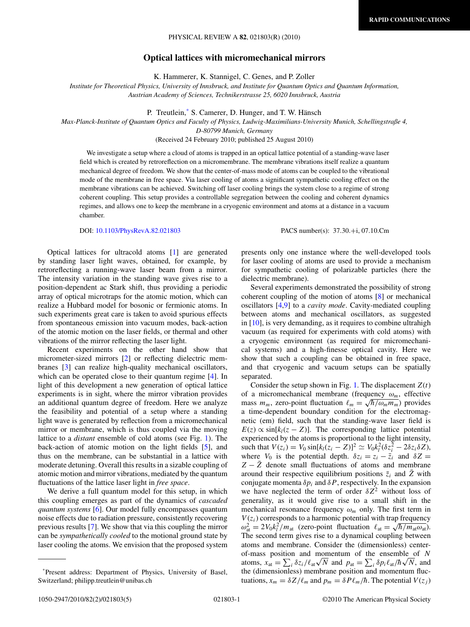## PHYSICAL REVIEW A **82**, 021803(R) (2010)

# **Optical lattices with micromechanical mirrors**

K. Hammerer, K. Stannigel, C. Genes, and P. Zoller

*Institute for Theoretical Physics, University of Innsbruck, and Institute for Quantum Optics and Quantum Information, Austrian Academy of Sciences, Technikerstrasse 25, 6020 Innsbruck, Austria*

P. Treutlein, <sup>\*</sup> S. Camerer, D. Hunger, and T. W. Hänsch

*Max-Planck-Institute of Quantum Optics and Faculty of Physics, Ludwig-Maximilians-University Munich, Schellingstraße 4,*

*D-80799 Munich, Germany*

(Received 24 February 2010; published 25 August 2010)

We investigate a setup where a cloud of atoms is trapped in an optical lattice potential of a standing-wave laser field which is created by retroreflection on a micromembrane. The membrane vibrations itself realize a quantum mechanical degree of freedom. We show that the center-of-mass mode of atoms can be coupled to the vibrational mode of the membrane in free space. Via laser cooling of atoms a significant sympathetic cooling effect on the membrane vibrations can be achieved. Switching off laser cooling brings the system close to a regime of strong coherent coupling. This setup provides a controllable segregation between the cooling and coherent dynamics regimes, and allows one to keep the membrane in a cryogenic environment and atoms at a distance in a vacuum chamber.

DOI: [10.1103/PhysRevA.82.021803](http://dx.doi.org/10.1103/PhysRevA.82.021803) PACS number(s): 37*.*30*.*+i, 07*.*10*.*Cm

Optical lattices for ultracold atoms [\[1\]](#page-4-0) are generated by standing laser light waves, obtained, for example, by retroreflecting a running-wave laser beam from a mirror. The intensity variation in the standing wave gives rise to a position-dependent ac Stark shift, thus providing a periodic array of optical microtraps for the atomic motion, which can realize a Hubbard model for bosonic or fermionic atoms. In such experiments great care is taken to avoid spurious effects from spontaneous emission into vacuum modes, back-action of the atomic motion on the laser fields, or thermal and other vibrations of the mirror reflecting the laser light.

Recent experiments on the other hand show that micrometer-sized mirrors [\[2\]](#page-4-0) or reflecting dielectric membranes [\[3\]](#page-4-0) can realize high-quality mechanical oscillators, which can be operated close to their quantum regime [\[4\]](#page-4-0). In light of this development a new generation of optical lattice experiments is in sight, where the mirror vibration provides an additional quantum degree of freedom. Here we analyze the feasibility and potential of a setup where a standing light wave is generated by reflection from a micromechanical mirror or membrane, which is thus coupled via the moving lattice to a *distant* ensemble of cold atoms (see Fig. [1\)](#page-1-0). The back-action of atomic motion on the light fields [\[5\]](#page-4-0), and thus on the membrane, can be substantial in a lattice with moderate detuning. Overall this results in a sizable coupling of atomic motion and mirror vibrations, mediated by the quantum fluctuations of the lattice laser light in *free space*.

We derive a full quantum model for this setup, in which this coupling emerges as part of the dynamics of *cascaded quantum systems* [\[6\]](#page-4-0). Our model fully encompasses quantum noise effects due to radiation pressure, consistently recovering previous results [\[7\]](#page-4-0). We show that via this coupling the mirror can be *sympathetically cooled* to the motional ground state by laser cooling the atoms. We envision that the proposed system

presents only one instance where the well-developed tools for laser cooling of atoms are used to provide a mechanism for sympathetic cooling of polarizable particles (here the dielectric membrane).

Several experiments demonstrated the possibility of strong coherent coupling of the motion of atoms [\[8\]](#page-4-0) or mechanical oscillators [\[4,9\]](#page-4-0) to a *cavity mode*. Cavity-mediated coupling between atoms and mechanical oscillators, as suggested in [\[10\]](#page-4-0), is very demanding, as it requires to combine ultrahigh vacuum (as required for experiments with cold atoms) with a cryogenic environment (as required for micromechanical systems) and a high-finesse optical cavity. Here we show that such a coupling can be obtained in free space, and that cryogenic and vacuum setups can be spatially separated.

Consider the setup shown in Fig. [1.](#page-1-0) The displacement  $Z(t)$ of a micromechanical membrane (frequency *ωm*, effective or a micromechanical memorane (irequency  $\omega_m$ , enecuve mass  $m_m$ , zero-point fluctuation  $\ell_m = \sqrt{\hbar/\omega_m m_m}$ ) provides a time-dependent boundary condition for the electromagnetic (em) field, such that the standing-wave laser field is  $E(z) \propto \sin[k_l(z - Z)]$ . The corresponding lattice potential experienced by the atoms is proportional to the light intensity,  $\text{such that } V(z_i) = V_0 \sin[k_l(z_i - Z)]^2 \simeq V_0 k_l^2 (\delta z_i^2 - 2 \delta z_i \delta Z),$ where  $V_0$  is the potential depth.  $\delta z_i = z_i - \overline{z}_i$  and  $\delta Z =$ *Z* − *Z* denote small fluctuations of atoms and membrane around their respective equilibrium positions  $\bar{z}_i$  and  $\bar{Z}$  with conjugate momenta  $\delta p_i$  and  $\delta P$ , respectively. In the expansion we have neglected the term of order  $\delta Z^2$  without loss of generality, as it would give rise to a small shift in the mechanical resonance frequency  $\omega_m$  only. The first term in  $V(z_i)$  corresponds to a harmonic potential with trap frequency *w*( $z_i$ ) corresponds to a narmonic potential with trap frequency  $\omega_{at}^2 = 2V_0k_l^2/m_{at}$  (zero-point fluctuation  $\ell_{at} = \sqrt{\hbar/m_{at}\omega_{at}}$ ). The second term gives rise to a dynamical coupling between atoms and membrane. Consider the (dimensionless) centerof-mass position and momentum of the ensemble of *N* of-mass position and momentum of the ensemble of N<br>atoms,  $x_{at} = \sum_i \delta z_i / \ell_{at} \sqrt{N}$  and  $p_{at} = \sum_i \delta p_i \ell_{at} / \hbar \sqrt{N}$ , and the (dimensionless) membrane position and momentum fluctuations,  $x_m = \delta Z / \ell_m$  and  $p_m = \delta P \ell_m / \hbar$ . The potential  $V(z_j)$ 

<sup>\*</sup>Present address: Department of Physics, University of Basel, Switzerland; philipp.treutlein@unibas.ch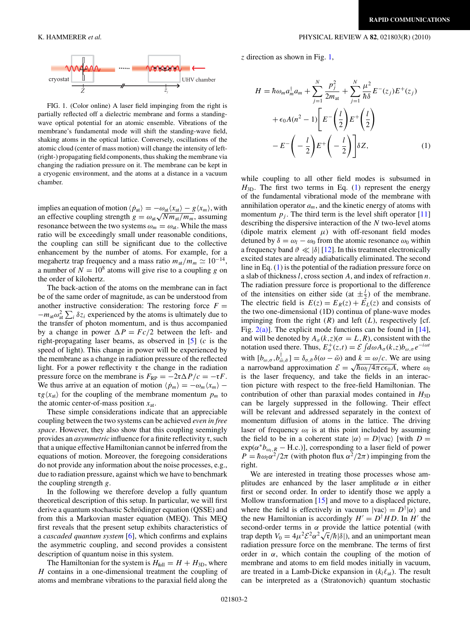<span id="page-1-0"></span>

FIG. 1. (Color online) A laser field impinging from the right is partially reflected off a dielectric membrane and forms a standingwave optical potential for an atomic ensemble. Vibrations of the membrane's fundamental mode will shift the standing-wave field, shaking atoms in the optical lattice. Conversely, oscillations of the atomic cloud (center of mass motion) will change the intensity of left- (right-) propagating field components, thus shaking the membrane via changing the radiation pressure on it. The membrane can be kept in a cryogenic environment, and the atoms at a distance in a vacuum chamber.

implies an equation of motion  $\langle \dot{p}_{at}\rangle = -\omega_{at}\langle x_{at}\rangle - g\langle x_m\rangle$ , with an effective coupling strength  $g = \omega_{at} \sqrt{N m_{at}/m_m}$ , assuming resonance between the two systems  $\omega_m = \omega_{\text{at}}$ . While the mass ratio will be exceedingly small under reasonable conditions, the coupling can still be significant due to the collective enhancement by the number of atoms. For example, for a megahertz trap frequency and a mass ratio  $m_{at}/m_m \simeq 10^{-14}$ , a number of  $N = 10^8$  atoms will give rise to a coupling *g* on the order of kilohertz.

The back-action of the atoms on the membrane can in fact be of the same order of magnitude, as can be understood from another instructive consideration: The restoring force  $F =$  $-m_{\text{at}}\omega_{\text{at}}^2\sum_i \delta z_i$  experienced by the atoms is ultimately due to the transfer of photon momentum, and is thus accompanied by a change in power  $\Delta P = Fc/2$  between the left- and right-propagating laser beams, as observed in [\[5\]](#page-4-0) (*c* is the speed of light). This change in power will be experienced by the membrane as a change in radiation pressure of the reflected light. For a power reflectivity r the change in the radiation pressure force on the membrane is  $F_{RP} = -2\tau\Delta P/c = -\tau F$ . We thus arrive at an equation of motion  $\langle \dot{p}_m \rangle = -\omega_m \langle x_m \rangle$  –  $\text{rg}(x_{at})$  for the coupling of the membrane momentum  $p_m$  to the atomic center-of-mass position *x*at.

These simple considerations indicate that an appreciable coupling between the two systems can be achieved *even in free space*. However, they also show that this coupling seemingly provides an *asymmetric* influence for a finite reflectivity r, such that a unique effective Hamiltonian cannot be inferred from the equations of motion. Moreover, the foregoing considerations do not provide any information about the noise processes, e.g., due to radiation pressure, against which we have to benchmark the coupling strength *g*.

In the following we therefore develop a fully quantum theoretical description of this setup. In particular, we will first derive a quantum stochastic Schrödinger equation (QSSE) and from this a Markovian master equation (MEQ). This MEQ first reveals that the present setup exhibits characteristics of a *cascaded quantum system* [\[6\]](#page-4-0), which confirms and explains the asymmetric coupling, and second provides a consistent description of quantum noise in this system.

The Hamiltonian for the system is  $H_{\text{full}} = H + H_{3D}$ , where *H* contains in a one-dimensional treatment the coupling of atoms and membrane vibrations to the paraxial field along the

*z* direction as shown in Fig. 1,

$$
H = \hbar \omega_m a_m^{\dagger} a_m + \sum_{j=1}^{N} \frac{p_j^2}{2m_{\text{at}}} + \sum_{j=1}^{N} \frac{\mu^2}{\hbar \delta} E^{-}(z_j) E^{+}(z_j)
$$
  
+  $\epsilon_0 A(n^2 - 1) \left[ E^{-} \left( \frac{l}{2} \right) E^{+} \left( \frac{l}{2} \right) - E^{-} \left( -\frac{l}{2} \right) E^{+} \left( -\frac{l}{2} \right) \right] \delta Z,$  (1)

while coupling to all other field modes is subsumed in  $H_{3D}$ . The first two terms in Eq. (1) represent the energy of the fundamental vibrational mode of the membrane with annihilation operator  $a_m$ , and the kinetic energy of atoms with momentum  $p_j$ . The third term is the level shift operator [\[11\]](#page-4-0) describing the dispersive interaction of the *N* two-level atoms (dipole matrix element  $\mu$ ) with off-resonant field modes detuned by  $\delta = \omega_l - \omega_0$  from the atomic resonance  $\omega_0$  within a frequency band  $\vartheta \ll |\delta|$  [\[12\]](#page-4-0). In this treatment electronically excited states are already adiabatically eliminated. The second line in Eq. (1) is the potential of the radiation pressure force on a slab of thickness *l*, cross section *A*, and index of refraction *n*. The radiation pressure force is proportional to the difference of the intensities on either side (at  $\pm \frac{l}{2}$ ) of the membrane. The electric field is  $E(z) = E_R(z) + \overline{E}_L(z)$  and consists of the two one-dimensional (1D) continua of plane-wave modes impinging from the right  $(R)$  and left  $(L)$ , respectively [cf. Fig.  $2(a)$ ]. The explicit mode functions can be found in [\[14\]](#page-4-0), and will be denoted by  $A_{\sigma}(k, z)$  ( $\sigma = L, R$ ), consistent with the notation used there. Thus,  $E^+_{\sigma}(z,t) = \mathcal{E} \int d\omega A_{\sigma}(k,z) b_{\omega,\sigma} e^{-i\omega t}$ with  $[b_{\omega,\sigma}, b_{\bar{\omega},\bar{\sigma}}] = \delta_{\sigma,\bar{\sigma}} \delta(\omega - \bar{\omega})$  and  $k = \omega/c$ . We are using a narrowband approximation  $\mathcal{E} = \sqrt{\hbar \omega_l / 4 \pi c \epsilon_0 A}$ , where  $\omega_l$ is the laser frequency, and take the fields in an interaction picture with respect to the free-field Hamiltonian. The contribution of other than paraxial modes contained in  $H_{3D}$ can be largely suppressed in the following. Their effect will be relevant and addressed separately in the context of momentum diffusion of atoms in the lattice. The driving laser of frequency  $\omega_l$  is at this point included by assuming the field to be in a coherent state  $|\alpha\rangle = D|\text{vac}\rangle$  [with  $D =$  $exp(\alpha^*b_{\omega_l,R} - H.c.)$ ], corresponding to a laser field of power  $P = \hbar \omega_l \alpha^2 / 2\pi$  (with photon flux  $\alpha^2 / 2\pi$ ) impinging from the right.

We are interested in treating those processes whose amplitudes are enhanced by the laser amplitude  $\alpha$  in either first or second order. In order to identify those we apply a Mollow transformation [\[15\]](#page-4-0) and move to a displaced picture, where the field is effectively in vacuum  $|vac\rangle = D^{\dagger}|\alpha\rangle$  and the new Hamiltonian is accordingly  $H' = D^{\dagger} H D$ . In *H'* the second-order terms in  $\alpha$  provide the lattice potential (with trap depth  $V_0 = 4\mu^2 \mathcal{E}^2 \alpha^2 \sqrt{\tau}/\hbar |\delta|$ , and an unimportant mean radiation pressure force on the membrane. The terms of first order in  $\alpha$ , which contain the coupling of the motion of membrane and atoms to em field modes initially in vacuum, are treated in a Lamb-Dicke expansion in  $(k_l \ell_{at})$ . The result can be interpreted as a (Stratonovich) quantum stochastic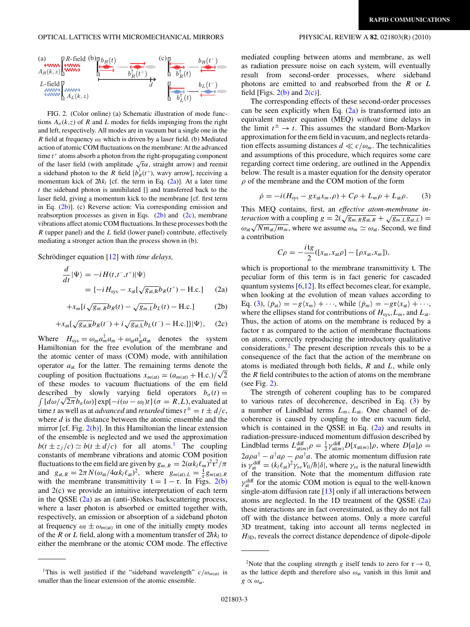<span id="page-2-0"></span>

FIG. 2. (Color online) (a) Schematic illustration of mode functions  $A_{\sigma}(k, z)$  of *R* and *L* modes for fields impinging from the right and left, respectively. All modes are in vacuum but a single one in the *R* field at frequency  $\omega_l$  which is driven by a laser field. (b) Mediated action of atomic COM fluctuations on the membrane: At the advanced time  $t^+$  atoms absorb a photon from the right-propagating component of the laser field (with amplitude  $\sqrt{r}\alpha$ , straight arrow) and reemit a sideband photon to the *R* field  $[b_R^{\dagger}(t^+))$ , wavy arrow], receiving a momentum kick of  $2\hbar k_l$  [cf. the term in Eq. (2a)]. At a later time *t* the sideband photon is annihilated [] and transferred back to the laser field, giving a momentum kick to the membrane [cf. first term in Eq. (2b)]. (c) Reverse action: Via corresponding emission and reabsorption processes as given in Eqs.  $(2b)$  and  $(2c)$ , membrane vibrations affect atomic COM fluctuations. In these processes both the *R* (upper panel) and the *L* field (lower panel) contribute, effectively mediating a stronger action than the process shown in (b).

Schrödinger equation [[12\]](#page-4-0) with *time delays*,

+*xm*[*i*

$$
\frac{d}{dt}|\Psi\rangle = -i H(t, t^{-}, t^{+})|\Psi\rangle
$$
  
=  $\{-i H_{\text{sys}} - x_{\text{at}}[\sqrt{g_{\text{at},R}}b_R(t^{+}) - \text{H.c.}]$  (2a)

$$
-x_m[i\sqrt{g_{m,R}}b_R(t) - \sqrt{g_{m,L}}b_L(t) - \text{H.c.}] \tag{2b}
$$

$$
+x_{\rm at}[\sqrt{g_{\rm at, R}}b_R(t^-)+i\sqrt{g_{\rm at, L}}b_L(t^-)-\text{H.c.}]\Psi\rangle, \quad (2c)
$$

Where  $H_{sys} = \omega_m a_m^{\dagger} a_m + \omega_{at} a_{at}^{\dagger} a_{at}$  denotes the system Hamiltonian for the free evolution of the membrane and the atomic center of mass (COM) mode, with annihilation operator *a*at for the latter. The remaining terms denote the operator  $a_{at}$  for the latter. The remaining terms denote the coupling of position fluctuations  $x_{m(at)} = (a_{m(at)} + H.c.)/\sqrt{2}$ of these modes to vacuum fluctuations of the em field described by slowly varying field operators  $b_{\sigma}(t) =$  $\int [d\omega/\sqrt{2\pi} b_{\sigma}(\omega)] \exp[-i(\omega - \omega_l)t](\sigma = R, L)$ , evaluated at time *t* as well as at *advanced* and *retarded* times  $t^{\pm} = t \pm d/c$ , where *d* is the distance between the atomic ensemble and the mirror [cf. Fig. 2(b)]. In this Hamiltonian the linear extension of the ensemble is neglected and we used the approximation  $b(t \pm z_i/c) \simeq b(t \pm d/c)$  for all atoms.<sup>1</sup> The coupling constants of membrane vibrations and atomic COM position fluctuations to the em field are given by  $g_{m,R} = 2(\alpha k_l \ell_m)^2 \mathfrak{r}^2 / \pi$ and  $g_{at,R} = 2\pi N(\omega_{at}/4\alpha k_l \ell_{at})^2$ , where  $g_{m(at),L} = \frac{t}{r} g_{m(at),R}$ with the membrane transmittivity  $t = 1 - r$ . In Figs. 2(b) and 2(c) we provide an intuitive interpretation of each term in the OSSE  $(2a)$  as an (anti-)Stokes backscattering process, where a laser photon is absorbed or emitted together with, respectively, an emission or absorption of a sideband photon at frequency  $\omega_l \pm \omega_{m(\text{at})}$  in one of the initially empty modes of the *R* or *L* field, along with a momentum transfer of  $2\hbar k_l$  to either the membrane or the atomic COM mode. The effective

mediated coupling between atoms and membrane, as well as radiation pressure noise on each system, will eventually result from second-order processes, where sideband photons are emitted to and reabsorbed from the *R* or *L* field [Figs.  $2(b)$  and  $2(c)$ ].

The corresponding effects of these second-order processes can be seen explicitly when Eq.  $(2a)$  is transformed into an equivalent master equation (MEQ) *without* time delays in the limit  $t^{\pm} \rightarrow t$ . This assumes the standard Born-Markov approximation for the em field in vacuum, and neglects retardation effects assuming distances  $d \ll c/\omega_m$ . The technicalities and assumptions of this procedure, which requires some care regarding correct time ordering, are outlined in the Appendix below. The result is a master equation for the density operator *ρ* of the membrane and the COM motion of the form

$$
\dot{\rho} = -i(H_{\rm sys} - gx_{\rm at}x_m, \rho) + C\rho + L_m\rho + L_{\rm at}\rho. \tag{3}
$$

This MEQ contains, first, an *effective atom-membrane interaction* with a coupling  $g = 2(\sqrt{g_m g_{at}} + \sqrt{g_m g_{at}})$  $\omega_{\text{at}}\sqrt{Nm_{\text{at}}/m_m}$ , where we assume  $\omega_m \simeq \omega_{\text{at}}$ . Second, we find a contribution

$$
C\rho = -\frac{i \mathfrak{t}g}{2}([x_m, x_{\text{at}}\rho] - [\rho x_{\text{at}}, x_m]),
$$

which is proportional to the membrane transmittivity t. The peculiar form of this term is in fact generic for cascaded quantum systems [\[6,12\]](#page-4-0). Its effect becomes clear, for example, when looking at the evolution of mean values according to Eq. (3),  $\langle \dot{p}_{at} \rangle = -g \langle x_m \rangle + \cdots$ , while  $\langle \dot{p}_m \rangle = -g \mathfrak{r} \langle x_{at} \rangle + \cdots$ , where the ellipses stand for contributions of  $H_{sys}$ ,  $L_m$ , and  $L_{at}$ . Thus, the action of atoms on the membrane is reduced by a factor r as compared to the action of membrane fluctuations on atoms, correctly reproducing the introductory qualitative considerations.2 The present description reveals this to be a consequence of the fact that the action of the membrane on atoms is mediated through both fields, *R* and *L*, while only the *R* field contributes to the action of atoms on the membrane (see Fig. 2).

The strength of coherent coupling has to be compared to various rates of decoherence, described in Eq. (3) by a number of Lindblad terms  $L_m$ ,  $L_{at}$ . One channel of decoherence is caused by coupling to the em vacuum field, which is contained in the QSSE in Eq.  $(2a)$  and results in radiation-pressure-induced momentum diffusion described by Lindblad terms  $L_{\text{at}(m)}^{\text{diff}} \rho = \frac{1}{2} \gamma_{\text{at}(m)}^{\text{diff}} D[x_{\text{at}(m)}] \rho$ , where  $D[a] \rho =$  $2a\rho a^{\dagger} - a^{\dagger} a \rho - \rho a^{\dagger} a$ . The atomic momentum diffusion rate is  $\gamma_{\text{at}}^{\text{diff}} = (k_l \ell_{\text{at}})^2 \gamma_{se} V_0 / \hbar |\delta|$ , where  $\gamma_{se}$  is the natural linewidth of the transition. Note that the momentum diffusion rate  $\gamma_{at}^{\text{diff}}$  for the atomic COM motion is equal to the well-known single-atom diffusion rate [\[13\]](#page-4-0) only if all interactions between atoms are neglected. In the 1D treatment of the QSSE (2a) these interactions are in fact overestimated, as they do not fall off with the distance between atoms. Only a more careful 3D treatment, taking into account all terms neglected in *H*3D, reveals the correct distance dependence of dipole-dipole

<sup>&</sup>lt;sup>1</sup>This is well justified if the "sideband wavelength"  $c/\omega_{m(\text{at})}$  is smaller than the linear extension of the atomic ensemble.

<sup>&</sup>lt;sup>2</sup>Note that the coupling strength *g* itself tends to zero for  $r \rightarrow 0$ , as the lattice depth and therefore also  $\omega_{at}$  vanish in this limit and  $g \propto \omega_{\text{at}}$ .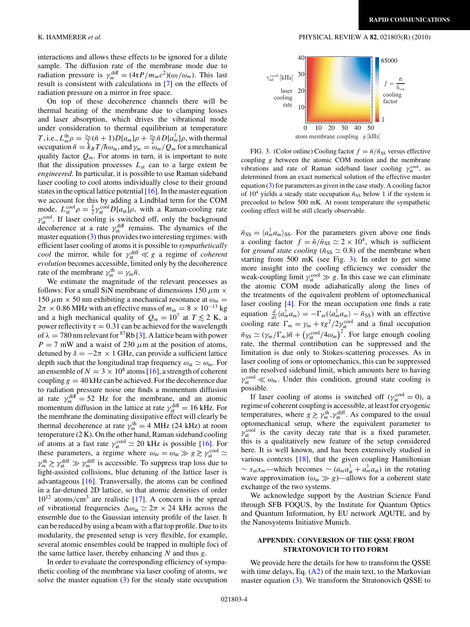interactions and allows these effects to be ignored for a dilute sample. The diffusion rate of the membrane mode due to radiation pressure is  $\gamma_m^{\text{diff}} = (4\tau P/m_m c^2)(\omega_l/\omega_m)$ . This last result is consistent with calculations in [\[7\]](#page-4-0) on the effects of radiation pressure on a mirror in free space.

On top of these decoherence channels there will be thermal heating of the membrane due to clamping losses and laser absorption, which drives the vibrational mode under consideration to thermal equilibrium at temperature *T*, i.e.,  $L_m^{\text{th}} \rho = \frac{\gamma_m}{2} (\bar{n} + 1) D[a_m] \rho + \frac{\gamma_m}{2} \bar{n} D[a_m^{\dagger}] \rho$ , with thermal occupation  $\bar{n} = k_B T / \hbar \omega_m$ , and  $\gamma_m = \omega_m / Q_m$  for a mechanical quality factor  $Q_m$ . For atoms in turn, it is important to note that the dissipation processes  $L_{at}$  can to a large extent be *engineered*. In particular, it is possible to use Raman sideband laser cooling to cool atoms individually close to their ground states in the optical lattice potential [\[16\]](#page-4-0). In the master equation we account for this by adding a Lindblad term for the COM mode,  $L_{\text{at}}^{\text{cool}} \rho = \frac{1}{2} \gamma_{\text{at}}^{\text{cool}} D[a_{\text{at}}] \rho$ , with a Raman-cooling rate  $\gamma_{\text{at}}^{\text{cool}}$ . If laser cooling is switched off, only the background decoherence at a rate  $\gamma_{at}^{diff}$  remains. The dynamics of the master equation [\(3\)](#page-2-0) thus provides two interesting regimes: with efficient laser cooling of atoms it is possible to *sympathetically cool* the mirror, while for  $\gamma_{at}^{\text{diff}} \ll g$  a regime of *coherent evolution* becomes accessible, limited only by the decoherence rate of the membrane  $\gamma_m^{\text{th}} = \gamma_m \bar{n}$ .

We estimate the magnitude of the relevant processes as follows: For a small SiN membrane of dimensions  $150 \mu m \times$ 150  $\mu$ m × 50 nm exhibiting a mechanical resonance at  $\omega_m$  =  $2\pi \times 0.86$  MHz with an effective mass of  $m_m = 8 \times 10^{-13}$  kg and a high mechanical quality of  $Q_m = 10^7$  at  $T \le 2$  K, a power reflectivity  $r = 0.31$  can be achieved for the wavelength of  $\lambda = 780$  nm relevant for <sup>87</sup>Rb [\[3\]](#page-4-0). A lattice beam with power  $P = 7$  mW and a waist of 230  $\mu$ m at the position of atoms, detuned by  $\delta = -2\pi \times 1$  GHz, can provide a sufficient lattice depth such that the longitudinal trap frequency  $\omega_{at} \simeq \omega_m$ . For an ensemble of  $N = 3 \times 10^8$  atoms [\[16\]](#page-4-0), a strength of coherent coupling  $g = 40$  kHz can be achieved. For the decoherence due to radiation pressure noise one finds a momentum diffusion at rate  $\gamma_m^{\text{diff}} = 52$  Hz for the membrane, and an atomic momentum diffusion in the lattice at rate  $\gamma_{at}^{diff} = 16$  kHz. For the membrane the dominating dissipative effect will clearly be thermal decoherence at rate  $\gamma_m^{\text{th}} = 4 \text{ MHz} (24 \text{ kHz})$  at room temperature (2 K). On the other hand, Raman sideband cooling of atoms at a fast rate  $\gamma_{\text{at}}^{\text{cool}} \simeq 20$  kHz is possible [\[16\]](#page-4-0). For these parameters, a regime where  $\omega_m = \omega_{\text{at}} \gg g \gtrsim \gamma_{\text{at}}^{\text{cool}} \simeq$  $\gamma_m^{\text{th}} \gtrsim \gamma_{\text{at}}^{\text{diff}} \gg \gamma_m^{\text{diff}}$  is accessible. To suppress trap loss due to light-assisted collisions, blue detuning of the lattice laser is advantageous [\[16\]](#page-4-0). Transversally, the atoms can be confined in a far-detuned 2D lattice, so that atomic densities of order 1012 atoms*/*cm<sup>3</sup> are realistic [\[17\]](#page-4-0). A concern is the spread of vibrational frequencies  $\Delta \omega_{\text{at}} \simeq 2\pi \times 24$  kHz across the ensemble due to the Gaussian intensity profile of the laser. It can be reduced by using a beam with a flat top profile. Due to its modularity, the presented setup is very flexible, for example, several atomic ensembles could be trapped in multiple foci of the same lattice laser, thereby enhancing *N* and thus *g*.

In order to evaluate the corresponding efficiency of sympathetic cooling of the membrane via laser cooling of atoms, we solve the master equation  $(3)$  for the steady state occupation

### K. HAMMERER *et al.* PHYSICAL REVIEW A **82**, 021803(R) (2010)



FIG. 3. (Color online) Cooling factor  $f = \bar{n}/\bar{n}_{SS}$  versus effective coupling *g* between the atomic COM motion and the membrane vibrations and rate of Raman sideband laser cooling γ<sub>at</sub> as determined from an exact numerical solution of the effective master equation [\(3\)](#page-2-0) for parameters as given in the case study. A cooling factor of  $10^4$  yields a steady state occupation  $\bar{n}_{SS}$  below 1 if the system is precooled to below 500 mK. At room temperature the sympathetic cooling effect will be still clearly observable.

 $\bar{n}_{SS} = \langle a_m^{\dagger} a_m \rangle_{SS}$ . For the parameters given above one finds a cooling factor  $f = \bar{n}/\bar{n}_{SS} \simeq 2 \times 10^4$ , which is sufficient for *ground state cooling* ( $\bar{n}_{SS} \simeq 0.8$ ) of the membrane when starting from 500 mK (see Fig. 3). In order to get some more insight into the cooling efficiency we consider the weak-coupling limit  $\gamma_{at}^{\text{cool}} \gg g$ . In this case we can eliminate the atomic COM mode adiabatically along the lines of the treatments of the equivalent problem of optomechanical laser cooling [\[4\]](#page-4-0). For the mean occupation one finds a rate equation  $\frac{d}{dt}\langle a_m^{\dagger} a_m \rangle = -\Gamma_m(\langle a_m^{\dagger} a_m \rangle - \bar{n}_{SS})$  with an effective cooling rate  $\Gamma_m = \gamma_m + \frac{g^2}{2\gamma_{\text{at}}^{\text{cool}}}$  and a final occupation  $\bar{n}_{SS} \simeq (\gamma_m/\Gamma_m)\bar{n} + (\gamma_{\text{at}}^{\text{cool}}/4\omega_m)^2$ . For large enough cooling rate, the thermal contribution can be suppressed and the limitation is due only to Stokes-scattering processes. As in laser cooling of ions or optomechanics, this can be suppressed in the resolved sideband limit, which amounts here to having  $\gamma_{\text{at}}^{\text{cool}} \ll \omega_m$ . Under this condition, ground state cooling is possible.

If laser cooling of atoms is switched off ( $\gamma_{at}^{\text{cool}} = 0$ ), a regime of coherent coupling is accessible, at least for cryogenic temperatures, where  $g \gtrsim \gamma_m^{\text{th}}$ ,  $\gamma_{\text{at}}^{\text{diff}}$ . As compared to the usual optomechanical setup, where the equivalent parameter to  $\gamma_{\text{at}}^{\text{cool}}$  is the cavity decay rate that is a fixed parameter, this is a qualitatively new feature of the setup considered here. It is well known, and has been extensively studied in various contexts [\[18\]](#page-4-0), that the given coupling Hamiltonian  $\sim x_{at}x_m$ —which becomes  $\sim (a_ma_{at}^{\dagger} + a_m^{\dagger}a_{at})$  in the rotating wave approximation  $(\omega_m \gg g)$ —allows for a coherent state exchange of the two systems.

We acknowledge support by the Austrian Science Fund through SFB FOQUS, by the Institute for Quantum Optics and Quantum Information, by EU network AQUTE, and by the Nanosystems Initiative Munich.

## **APPENDIX: CONVERSION OF THE QSSE FROM STRATONOVICH TO ITO FORM**

We provide here the details for how to transform the QSSE with time delays, Eq.  $(A2)$  of the main text, to the Markovian master equation [\(3\)](#page-2-0). We transform the Stratonovich QSSE to